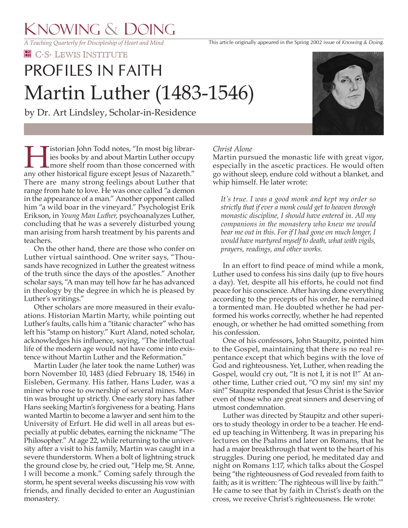*A Teaching Quarterly for Discipleship of Heart and Mind*

**HE C.S. LEWIS INSTITUTE** 

# Martin Luther (1483-1546) PROFILES IN FAITH

by Dr. Art Lindsley, Scholar-in-Residence



**Tistorian John Todd notes, "In most big librar**ies books by and about Martin Luther occupy **L** more shelf room than those concerned with any other historical figure except Jesus of Nazareth." There are many strong feelings about Luther that range from hate to love. He was once called "a demon in the appearance of a man." Another opponent called him "a wild boar in the vineyard." Psychologist Erik Erikson, in *Young Man Luther,* psychoanalyzes Luther, concluding that he was a severely disturbed young man arising from harsh treatment by his parents and teachers.

 On the other hand, there are those who confer on Luther virtual sainthood. One writer says, "Thousands have recognized in Luther the greatest witness of the truth since the days of the apostles." Another scholar says, "A man may tell how far he has advanced in theology by the degree in which he is pleased by Luther's writings."

 Other scholars are more measured in their evaluations. Historian Martin Marty, while pointing out Luther's faults, calls him a "titanic character" who has left his "stamp on history." Kurt Aland, noted scholar, acknowledges his influence, saying, "The intellectual life of the modern age would not have come into existence without Martin Luther and the Reformation."

 Martin Luder (he later took the name Luther) was born November 10, 1483 (died February 18, 1546) in Eisleben, Germany. His father, Hans Luder, was a miner who rose to ownership of several mines. Martin was brought up strictly. One early story has father Hans seeking Martin's forgiveness for a beating. Hans wanted Martin to become a lawyer and sent him to the University of Erfurt. He did well in all areas but especially at public debates, earning the nickname "The Philosopher." At age 22, while returning to the university after a visit to his family, Martin was caught in a severe thunderstorm. When a bolt of lightning struck the ground close by, he cried out, "Help me, St. Anne, I will become a monk." Coming safely through the storm, he spent several weeks discussing his vow with friends, and finally decided to enter an Augustinian monastery.

# *Christ Alone*

Martin pursued the monastic life with great vigor, especially in the ascetic practices. He would often go without sleep, endure cold without a blanket, and whip himself. He later wrote:

*It's true. I was a good monk and kept my order so strictly that if ever a monk could get to heaven through monastic discipline, I should have entered in. All my companions in the monastery who knew me would bear me out in this. For if I had gone on much longer, I would have martyred myself to death, what with vigils, prayers, readings, and other works.*

 In an effort to find peace of mind while a monk, Luther used to confess his sins daily (up to five hours a day). Yet, despite all his efforts, he could not find peace for his conscience. After having done everything according to the precepts of his order, he remained a tormented man. He doubted whether he had performed his works correctly, whether he had repented enough, or whether he had omitted something from his confession.

 One of his confessors, John Staupitz, pointed him to the Gospel, maintaining that there is no real repentance except that which begins with the love of God and righteousness. Yet, Luther, when reading the Gospel, would cry out, "It is not I, it is not I!" At another time, Luther cried out, "O my sin! my sin! my sin!" Staupitz responded that Jesus Christ is the Savior even of those who are great sinners and deserving of utmost condemnation.

 Luther was directed by Staupitz and other superiors to study theology in order to be a teacher. He ended up teaching in Wittenberg. It was in preparing his lectures on the Psalms and later on Romans, that he had a major breakthrough that went to the heart of his struggles. During one period, he meditated day and night on Romans 1:17, which talks about the Gospel being "the righteousness of God revealed from faith to faith; as it is written: 'The righteous will live by faith.'" He came to see that by faith in Christ's death on the cross, we receive Christ's righteousness. He wrote: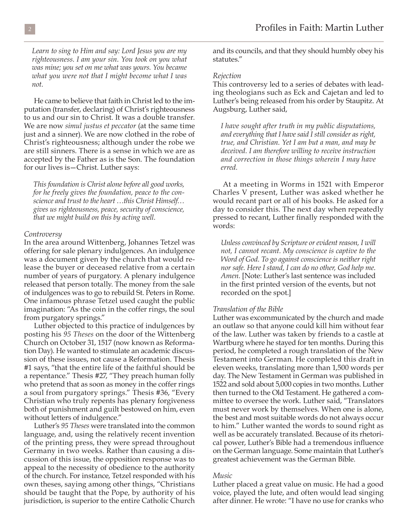*Learn to sing to Him and say: Lord Jesus you are my righteousness. I am your sin. You took on you what was mine; you set on me what was yours. You became what you were not that I might become what I was not.* 

 He came to believe that faith in Christ led to the imputation (transfer, declaring) of Christ's righteousness to us and our sin to Christ. It was a double transfer. We are now *simul justus et peccator* (at the same time just and a sinner). We are now clothed in the robe of Christ's righteousness; although under the robe we are still sinners. There is a sense in which we are as accepted by the Father as is the Son. The foundation for our lives is—Christ. Luther says:

*This foundation is Christ alone before all good works, for he freely gives the foundation, peace to the conscience and trust to the heart …this Christ Himself… gives us righteousness, peace, security of conscience, that we might build on this by acting well.*

## *Controversy*

In the area around Wittenberg, Johannes Tetzel was offering for sale plenary indulgences. An indulgence was a document given by the church that would release the buyer or deceased relative from a certain number of years of purgatory. A plenary indulgence released that person totally. The money from the sale of indulgences was to go to rebuild St. Peters in Rome. One infamous phrase Tetzel used caught the public imagination: "As the coin in the coffer rings, the soul from purgatory springs."

 Luther objected to this practice of indulgences by posting his *95 Theses* on the door of the Wittenberg Church on October 31, 1517 (now known as Reformation Day). He wanted to stimulate an academic discussion of these issues, not cause a Reformation. Thesis #1 says, "that the entire life of the faithful should be a repentance." Thesis #27, "They preach human folly who pretend that as soon as money in the coffer rings a soul from purgatory springs." Thesis #36, "Every Christian who truly repents has plenary forgiveness both of punishment and guilt bestowed on him, even without letters of indulgence."

 Luther's *95 Theses* were translated into the common language, and, using the relatively recent invention of the printing press, they were spread throughout Germany in two weeks. Rather than causing a discussion of this issue, the opposition response was to appeal to the necessity of obedience to the authority of the church. For instance, Tetzel responded with his own theses, saying among other things, "Christians should be taught that the Pope, by authority of his jurisdiction, is superior to the entire Catholic Church

and its councils, and that they should humbly obey his statutes."

### *Rejection*

This controversy led to a series of debates with leading theologians such as Eck and Cajetan and led to Luther's being released from his order by Staupitz. At Augsburg, Luther said,

*I have sought after truth in my public disputations, and everything that I have said I still consider as right, true, and Christian. Yet I am but a man, and may be deceived. I am therefore willing to receive instruction and correction in those things wherein I may have erred.*

 At a meeting in Worms in 1521 with Emperor Charles V present, Luther was asked whether he would recant part or all of his books. He asked for a day to consider this. The next day when repeatedly pressed to recant, Luther finally responded with the words:

*Unless convinced by Scripture or evident reason, I will not, I cannot recant. My conscience is captive to the Word of God. To go against conscience is neither right nor safe. Here I stand, I can do no other, God help me. Amen.* [Note: Luther's last sentence was included in the first printed version of the events, but not recorded on the spot.]

# *Translation of the Bible*

Luther was excommunicated by the church and made an outlaw so that anyone could kill him without fear of the law. Luther was taken by friends to a castle at Wartburg where he stayed for ten months. During this period, he completed a rough translation of the New Testament into German. He completed this draft in eleven weeks, translating more than 1,500 words per day. The New Testament in German was published in 1522 and sold about 5,000 copies in two months. Luther then turned to the Old Testament. He gathered a committee to oversee the work. Luther said, "Translators must never work by themselves. When one is alone, the best and most suitable words do not always occur to him." Luther wanted the words to sound right as well as be accurately translated. Because of its rhetorical power, Luther's Bible had a tremendous influence on the German language. Some maintain that Luther's greatest achievement was the German Bible.

### *Music*

Luther placed a great value on music. He had a good voice, played the lute, and often would lead singing after dinner. He wrote: "I have no use for cranks who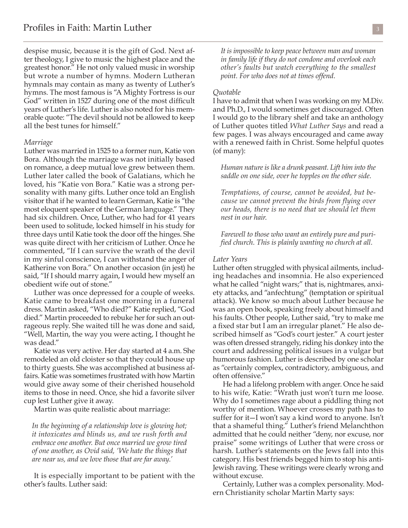despise music, because it is the gift of God. Next after theology, I give to music the highest place and the greatest honor." He not only valued music in worship but wrote a number of hymns. Modern Lutheran hymnals may contain as many as twenty of Luther's hymns. The most famous is "A Mighty Fortress is our God" written in 1527 during one of the most difficult years of Luther's life. Luther is also noted for his memorable quote: "The devil should not be allowed to keep all the best tunes for himself."

#### *Marriage*

Luther was married in 1525 to a former nun, Katie von Bora. Although the marriage was not initially based on romance, a deep mutual love grew between them. Luther later called the book of Galatians, which he loved, his "Katie von Bora." Katie was a strong personality with many gifts. Luther once told an English visitor that if he wanted to learn German, Katie is "the most eloquent speaker of the German language." They had six children. Once, Luther, who had for 41 years been used to solitude, locked himself in his study for three days until Katie took the door off the hinges. She was quite direct with her criticism of Luther. Once he commented, "If I can survive the wrath of the devil in my sinful conscience, I can withstand the anger of Katherine von Bora." On another occasion (in jest) he said, "If I should marry again, I would hew myself an obedient wife out of stone."

 Luther was once depressed for a couple of weeks. Katie came to breakfast one morning in a funeral dress. Martin asked, "Who died?" Katie replied, "God died." Martin proceeded to rebuke her for such an outrageous reply. She waited till he was done and said, "Well, Martin, the way you were acting, I thought he was dead."

 Katie was very active. Her day started at 4 a.m. She remodeled an old cloister so that they could house up to thirty guests. She was accomplished at business affairs. Katie was sometimes frustrated with how Martin would give away some of their cherished household items to those in need. Once, she hid a favorite silver cup lest Luther give it away.

Martin was quite realistic about marriage:

*In the beginning of a relationship love is glowing hot; it intoxicates and blinds us, and we rush forth and embrace one another. But once married we grow tired of one another, as Ovid said, 'We hate the things that are near us, and we love those that are far away.'*

 It is especially important to be patient with the other's faults. Luther said:

*It is impossible to keep peace between man and woman in family life if they do not condone and overlook each other's faults but watch everything to the smallest point. For who does not at times offend.*

## *Quotable*

I have to admit that when I was working on my M.Div. and Ph.D., I would sometimes get discouraged. Often I would go to the library shelf and take an anthology of Luther quotes titled *What Luther Says* and read a few pages. I was always encouraged and came away with a renewed faith in Christ. Some helpful quotes (of many):

*Human nature is like a drunk peasant. Lift him into the saddle on one side, over he topples on the other side.*

*Temptations, of course, cannot be avoided, but because we cannot prevent the birds from flying over our heads, there is no need that we should let them nest in our hair.*

*Farewell to those who want an entirely pure and purified church. This is plainly wanting no church at all.*

## *Later Years*

Luther often struggled with physical ailments, including headaches and insomnia. He also experienced what he called "night wars;" that is, nightmares, anxiety attacks, and "anfechtung" (temptation or spiritual attack). We know so much about Luther because he was an open book, speaking freely about himself and his faults. Other people, Luther said, "try to make me a fixed star but I am an irregular planet." He also described himself as "God's court jester." A court jester was often dressed strangely, riding his donkey into the court and addressing political issues in a vulgar but humorous fashion. Luther is described by one scholar as "certainly complex, contradictory, ambiguous, and often offensive."

 He had a lifelong problem with anger. Once he said to his wife, Katie: "Wrath just won't turn me loose. Why do I sometimes rage about a piddling thing not worthy of mention. Whoever crosses my path has to suffer for it—I won't say a kind word to anyone. Isn't that a shameful thing." Luther's friend Melanchthon admitted that he could neither "deny, nor excuse, nor praise" some writings of Luther that were cross or harsh. Luther's statements on the Jews fall into this category. His best friends begged him to stop his anti-Jewish raving. These writings were clearly wrong and without excuse.

 Certainly, Luther was a complex personality. Modern Christianity scholar Martin Marty says: